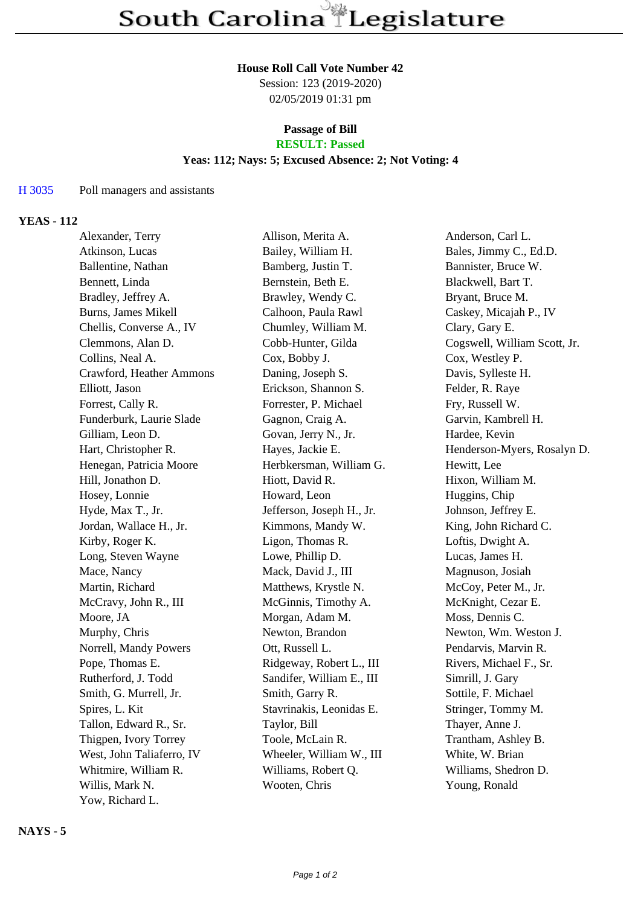# **House Roll Call Vote Number 42**

Session: 123 (2019-2020) 02/05/2019 01:31 pm

### **Passage of Bill RESULT: Passed**

### **Yeas: 112; Nays: 5; Excused Absence: 2; Not Voting: 4**

### H 3035 Poll managers and assistants

# **YEAS - 112**

| Alexander, Terry          | Allison, Merita A.        | Anderson, Carl L.            |
|---------------------------|---------------------------|------------------------------|
| Atkinson, Lucas           | Bailey, William H.        | Bales, Jimmy C., Ed.D.       |
| Ballentine, Nathan        | Bamberg, Justin T.        | Bannister, Bruce W.          |
| Bennett, Linda            | Bernstein, Beth E.        | Blackwell, Bart T.           |
| Bradley, Jeffrey A.       | Brawley, Wendy C.         | Bryant, Bruce M.             |
| Burns, James Mikell       | Calhoon, Paula Rawl       | Caskey, Micajah P., IV       |
| Chellis, Converse A., IV  | Chumley, William M.       | Clary, Gary E.               |
| Clemmons, Alan D.         | Cobb-Hunter, Gilda        | Cogswell, William Scott, Jr. |
| Collins, Neal A.          | Cox, Bobby J.             | Cox, Westley P.              |
| Crawford, Heather Ammons  | Daning, Joseph S.         | Davis, Sylleste H.           |
| Elliott, Jason            | Erickson, Shannon S.      | Felder, R. Raye              |
| Forrest, Cally R.         | Forrester, P. Michael     | Fry, Russell W.              |
| Funderburk, Laurie Slade  | Gagnon, Craig A.          | Garvin, Kambrell H.          |
| Gilliam, Leon D.          | Govan, Jerry N., Jr.      | Hardee, Kevin                |
| Hart, Christopher R.      | Hayes, Jackie E.          | Henderson-Myers, Rosalyn D.  |
| Henegan, Patricia Moore   | Herbkersman, William G.   | Hewitt, Lee                  |
| Hill, Jonathon D.         | Hiott, David R.           | Hixon, William M.            |
| Hosey, Lonnie             | Howard, Leon              | Huggins, Chip                |
| Hyde, Max T., Jr.         | Jefferson, Joseph H., Jr. | Johnson, Jeffrey E.          |
| Jordan, Wallace H., Jr.   | Kimmons, Mandy W.         | King, John Richard C.        |
| Kirby, Roger K.           | Ligon, Thomas R.          | Loftis, Dwight A.            |
| Long, Steven Wayne        | Lowe, Phillip D.          | Lucas, James H.              |
| Mace, Nancy               | Mack, David J., III       | Magnuson, Josiah             |
| Martin, Richard           | Matthews, Krystle N.      | McCoy, Peter M., Jr.         |
| McCravy, John R., III     | McGinnis, Timothy A.      | McKnight, Cezar E.           |
| Moore, JA                 | Morgan, Adam M.           | Moss, Dennis C.              |
| Murphy, Chris             | Newton, Brandon           | Newton, Wm. Weston J.        |
| Norrell, Mandy Powers     | Ott, Russell L.           | Pendarvis, Marvin R.         |
| Pope, Thomas E.           | Ridgeway, Robert L., III  | Rivers, Michael F., Sr.      |
| Rutherford, J. Todd       | Sandifer, William E., III | Simrill, J. Gary             |
| Smith, G. Murrell, Jr.    | Smith, Garry R.           | Sottile, F. Michael          |
| Spires, L. Kit            | Stavrinakis, Leonidas E.  | Stringer, Tommy M.           |
| Tallon, Edward R., Sr.    | Taylor, Bill              | Thayer, Anne J.              |
| Thigpen, Ivory Torrey     | Toole, McLain R.          | Trantham, Ashley B.          |
| West, John Taliaferro, IV | Wheeler, William W., III  | White, W. Brian              |
| Whitmire, William R.      | Williams, Robert Q.       | Williams, Shedron D.         |
| Willis, Mark N.           | Wooten, Chris             | Young, Ronald                |
| Yow, Richard L.           |                           |                              |